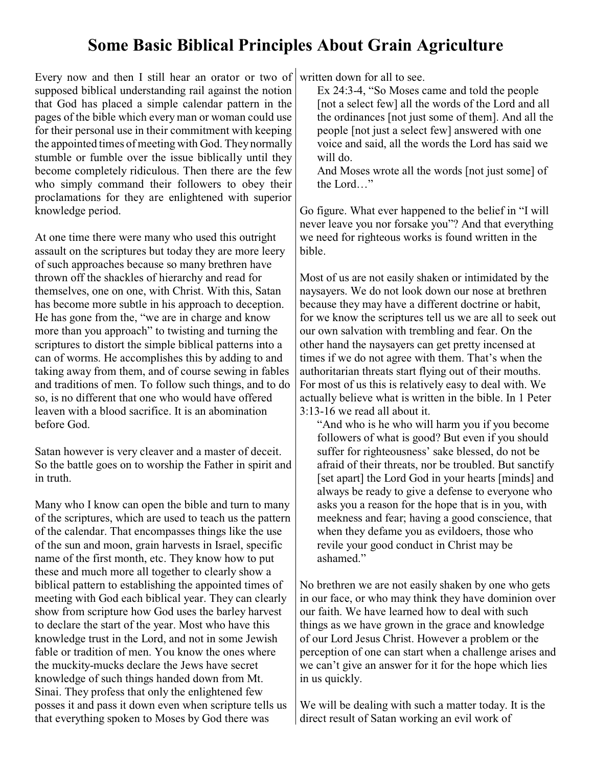## **Some Basic Biblical Principles About Grain Agriculture**

Every now and then I still hear an orator or two of supposed biblical understanding rail against the notion that God has placed a simple calendar pattern in the pages of the bible which every man or woman could use for their personal use in their commitment with keeping the appointed times of meeting with God. They normally stumble or fumble over the issue biblically until they become completely ridiculous. Then there are the few who simply command their followers to obey their proclamations for they are enlightened with superior knowledge period.

At one time there were many who used this outright assault on the scriptures but today they are more leery of such approaches because so many brethren have thrown off the shackles of hierarchy and read for themselves, one on one, with Christ. With this, Satan has become more subtle in his approach to deception. He has gone from the, "we are in charge and know more than you approach" to twisting and turning the scriptures to distort the simple biblical patterns into a can of worms. He accomplishes this by adding to and taking away from them, and of course sewing in fables and traditions of men. To follow such things, and to do so, is no different that one who would have offered leaven with a blood sacrifice. It is an abomination before God.

Satan however is very cleaver and a master of deceit. So the battle goes on to worship the Father in spirit and in truth.

Many who I know can open the bible and turn to many of the scriptures, which are used to teach us the pattern of the calendar. That encompasses things like the use of the sun and moon, grain harvests in Israel, specific name of the first month, etc. They know how to put these and much more all together to clearly show a biblical pattern to establishing the appointed times of meeting with God each biblical year. They can clearly show from scripture how God uses the barley harvest to declare the start of the year. Most who have this knowledge trust in the Lord, and not in some Jewish fable or tradition of men. You know the ones where the muckity-mucks declare the Jews have secret knowledge of such things handed down from Mt. Sinai. They profess that only the enlightened few posses it and pass it down even when scripture tells us that everything spoken to Moses by God there was

written down for all to see.

Ex 24:3-4, "So Moses came and told the people [not a select few] all the words of the Lord and all the ordinances [not just some of them]. And all the people [not just a select few] answered with one voice and said, all the words the Lord has said we will do.

And Moses wrote all the words [not just some] of the Lord…"

Go figure. What ever happened to the belief in "I will never leave you nor forsake you"? And that everything we need for righteous works is found written in the bible.

Most of us are not easily shaken or intimidated by the naysayers. We do not look down our nose at brethren because they may have a different doctrine or habit, for we know the scriptures tell us we are all to seek out our own salvation with trembling and fear. On the other hand the naysayers can get pretty incensed at times if we do not agree with them. That's when the authoritarian threats start flying out of their mouths. For most of us this is relatively easy to deal with. We actually believe what is written in the bible. In 1 Peter 3:13-16 we read all about it.

"And who is he who will harm you if you become followers of what is good? But even if you should suffer for righteousness' sake blessed, do not be afraid of their threats, nor be troubled. But sanctify [set apart] the Lord God in your hearts [minds] and always be ready to give a defense to everyone who asks you a reason for the hope that is in you, with meekness and fear; having a good conscience, that when they defame you as evildoers, those who revile your good conduct in Christ may be ashamed."

No brethren we are not easily shaken by one who gets in our face, or who may think they have dominion over our faith. We have learned how to deal with such things as we have grown in the grace and knowledge of our Lord Jesus Christ. However a problem or the perception of one can start when a challenge arises and we can't give an answer for it for the hope which lies in us quickly.

We will be dealing with such a matter today. It is the direct result of Satan working an evil work of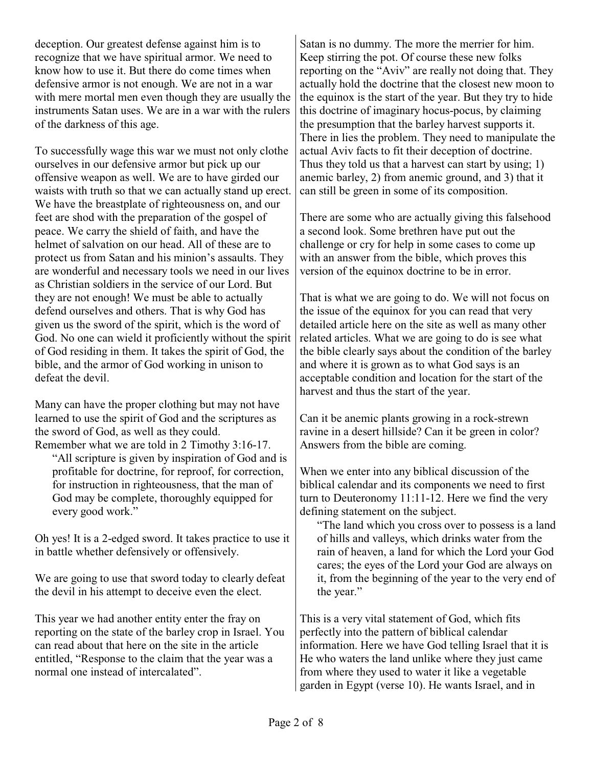deception. Our greatest defense against him is to recognize that we have spiritual armor. We need to know how to use it. But there do come times when defensive armor is not enough. We are not in a war with mere mortal men even though they are usually the instruments Satan uses. We are in a war with the rulers of the darkness of this age.

To successfully wage this war we must not only clothe ourselves in our defensive armor but pick up our offensive weapon as well. We are to have girded our waists with truth so that we can actually stand up erect. We have the breastplate of righteousness on, and our feet are shod with the preparation of the gospel of peace. We carry the shield of faith, and have the helmet of salvation on our head. All of these are to protect us from Satan and his minion's assaults. They are wonderful and necessary tools we need in our lives as Christian soldiers in the service of our Lord. But they are not enough! We must be able to actually defend ourselves and others. That is why God has given us the sword of the spirit, which is the word of God. No one can wield it proficiently without the spirit of God residing in them. It takes the spirit of God, the bible, and the armor of God working in unison to defeat the devil.

Many can have the proper clothing but may not have learned to use the spirit of God and the scriptures as the sword of God, as well as they could. Remember what we are told in 2 Timothy 3:16-17.

"All scripture is given by inspiration of God and is profitable for doctrine, for reproof, for correction, for instruction in righteousness, that the man of God may be complete, thoroughly equipped for every good work."

Oh yes! It is a 2-edged sword. It takes practice to use it in battle whether defensively or offensively.

We are going to use that sword today to clearly defeat the devil in his attempt to deceive even the elect.

This year we had another entity enter the fray on reporting on the state of the barley crop in Israel. You can read about that here on the site in the article entitled, "Response to the claim that the year was a normal one instead of intercalated".

Satan is no dummy. The more the merrier for him. Keep stirring the pot. Of course these new folks reporting on the "Aviv" are really not doing that. They actually hold the doctrine that the closest new moon to the equinox is the start of the year. But they try to hide this doctrine of imaginary hocus-pocus, by claiming the presumption that the barley harvest supports it. There in lies the problem. They need to manipulate the actual Aviv facts to fit their deception of doctrine. Thus they told us that a harvest can start by using; 1) anemic barley, 2) from anemic ground, and 3) that it can still be green in some of its composition.

There are some who are actually giving this falsehood a second look. Some brethren have put out the challenge or cry for help in some cases to come up with an answer from the bible, which proves this version of the equinox doctrine to be in error.

That is what we are going to do. We will not focus on the issue of the equinox for you can read that very detailed article here on the site as well as many other related articles. What we are going to do is see what the bible clearly says about the condition of the barley and where it is grown as to what God says is an acceptable condition and location for the start of the harvest and thus the start of the year.

Can it be anemic plants growing in a rock-strewn ravine in a desert hillside? Can it be green in color? Answers from the bible are coming.

When we enter into any biblical discussion of the biblical calendar and its components we need to first turn to Deuteronomy 11:11-12. Here we find the very defining statement on the subject.

"The land which you cross over to possess is a land of hills and valleys, which drinks water from the rain of heaven, a land for which the Lord your God cares; the eyes of the Lord your God are always on it, from the beginning of the year to the very end of the year."

This is a very vital statement of God, which fits perfectly into the pattern of biblical calendar information. Here we have God telling Israel that it is He who waters the land unlike where they just came from where they used to water it like a vegetable garden in Egypt (verse 10). He wants Israel, and in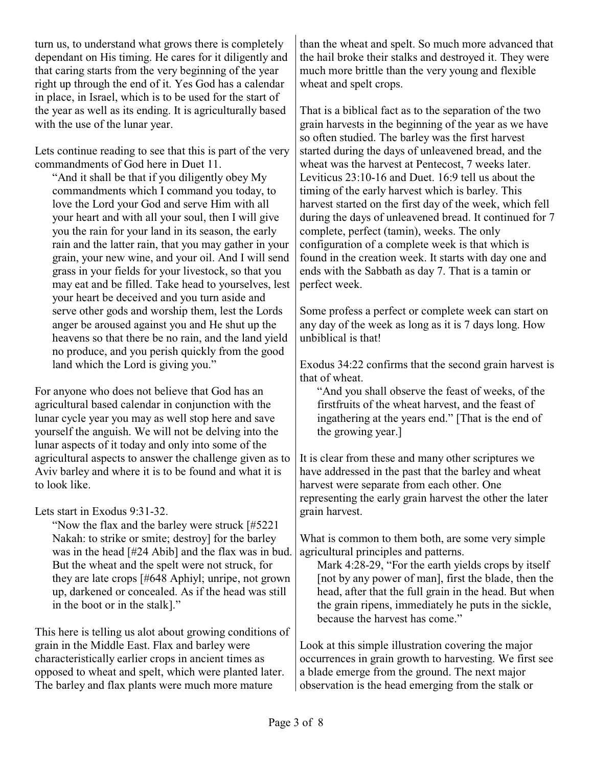turn us, to understand what grows there is completely dependant on His timing. He cares for it diligently and that caring starts from the very beginning of the year right up through the end of it. Yes God has a calendar in place, in Israel, which is to be used for the start of the year as well as its ending. It is agriculturally based with the use of the lunar year.

Lets continue reading to see that this is part of the very commandments of God here in Duet 11.

"And it shall be that if you diligently obey My commandments which I command you today, to love the Lord your God and serve Him with all your heart and with all your soul, then I will give you the rain for your land in its season, the early rain and the latter rain, that you may gather in your grain, your new wine, and your oil. And I will send grass in your fields for your livestock, so that you may eat and be filled. Take head to yourselves, lest your heart be deceived and you turn aside and serve other gods and worship them, lest the Lords anger be aroused against you and He shut up the heavens so that there be no rain, and the land yield no produce, and you perish quickly from the good land which the Lord is giving you."

For anyone who does not believe that God has an agricultural based calendar in conjunction with the lunar cycle year you may as well stop here and save yourself the anguish. We will not be delving into the lunar aspects of it today and only into some of the agricultural aspects to answer the challenge given as to Aviv barley and where it is to be found and what it is to look like.

Lets start in Exodus 9:31-32.

"Now the flax and the barley were struck [#5221 Nakah: to strike or smite; destroy] for the barley was in the head [#24 Abib] and the flax was in bud. But the wheat and the spelt were not struck, for they are late crops [#648 Aphiyl; unripe, not grown up, darkened or concealed. As if the head was still in the boot or in the stalk]."

This here is telling us alot about growing conditions of grain in the Middle East. Flax and barley were characteristically earlier crops in ancient times as opposed to wheat and spelt, which were planted later. The barley and flax plants were much more mature

than the wheat and spelt. So much more advanced that the hail broke their stalks and destroyed it. They were much more brittle than the very young and flexible wheat and spelt crops.

That is a biblical fact as to the separation of the two grain harvests in the beginning of the year as we have so often studied. The barley was the first harvest started during the days of unleavened bread, and the wheat was the harvest at Pentecost, 7 weeks later. Leviticus 23:10-16 and Duet. 16:9 tell us about the timing of the early harvest which is barley. This harvest started on the first day of the week, which fell during the days of unleavened bread. It continued for 7 complete, perfect (tamin), weeks. The only configuration of a complete week is that which is found in the creation week. It starts with day one and ends with the Sabbath as day 7. That is a tamin or perfect week.

Some profess a perfect or complete week can start on any day of the week as long as it is 7 days long. How unbiblical is that!

Exodus 34:22 confirms that the second grain harvest is that of wheat.

"And you shall observe the feast of weeks, of the firstfruits of the wheat harvest, and the feast of ingathering at the years end." [That is the end of the growing year.]

It is clear from these and many other scriptures we have addressed in the past that the barley and wheat harvest were separate from each other. One representing the early grain harvest the other the later grain harvest.

What is common to them both, are some very simple agricultural principles and patterns.

Mark 4:28-29, "For the earth yields crops by itself [not by any power of man], first the blade, then the head, after that the full grain in the head. But when the grain ripens, immediately he puts in the sickle, because the harvest has come."

Look at this simple illustration covering the major occurrences in grain growth to harvesting. We first see a blade emerge from the ground. The next major observation is the head emerging from the stalk or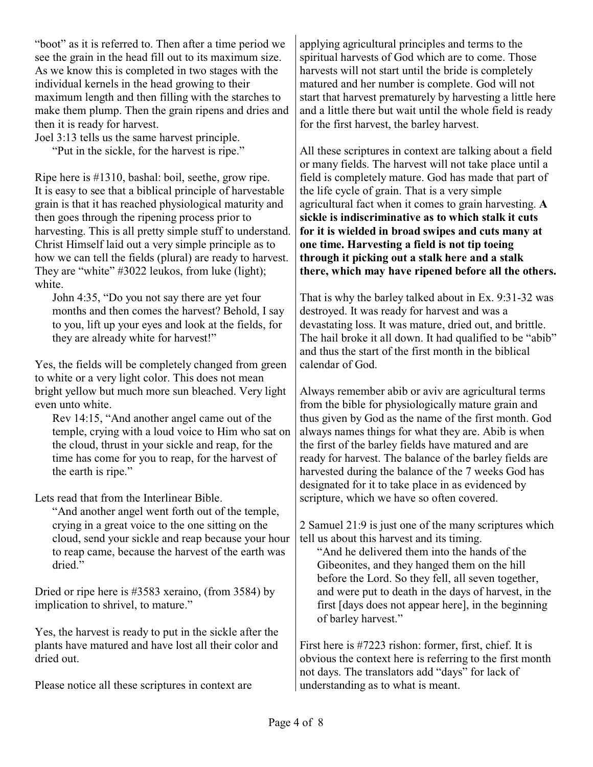"boot" as it is referred to. Then after a time period we see the grain in the head fill out to its maximum size. As we know this is completed in two stages with the individual kernels in the head growing to their maximum length and then filling with the starches to make them plump. Then the grain ripens and dries and then it is ready for harvest.

Joel 3:13 tells us the same harvest principle.

"Put in the sickle, for the harvest is ripe."

Ripe here is #1310, bashal: boil, seethe, grow ripe. It is easy to see that a biblical principle of harvestable grain is that it has reached physiological maturity and then goes through the ripening process prior to harvesting. This is all pretty simple stuff to understand. Christ Himself laid out a very simple principle as to how we can tell the fields (plural) are ready to harvest. They are "white" #3022 leukos, from luke (light); white.

John 4:35, "Do you not say there are yet four months and then comes the harvest? Behold, I say to you, lift up your eyes and look at the fields, for they are already white for harvest!"

Yes, the fields will be completely changed from green to white or a very light color. This does not mean bright yellow but much more sun bleached. Very light even unto white.

Rev 14:15, "And another angel came out of the temple, crying with a loud voice to Him who sat on the cloud, thrust in your sickle and reap, for the time has come for you to reap, for the harvest of the earth is ripe."

Lets read that from the Interlinear Bible.

"And another angel went forth out of the temple, crying in a great voice to the one sitting on the cloud, send your sickle and reap because your hour to reap came, because the harvest of the earth was dried."

Dried or ripe here is #3583 xeraino, (from 3584) by implication to shrivel, to mature."

Yes, the harvest is ready to put in the sickle after the plants have matured and have lost all their color and dried out.

Please notice all these scriptures in context are

applying agricultural principles and terms to the spiritual harvests of God which are to come. Those harvests will not start until the bride is completely matured and her number is complete. God will not start that harvest prematurely by harvesting a little here and a little there but wait until the whole field is ready for the first harvest, the barley harvest.

All these scriptures in context are talking about a field or many fields. The harvest will not take place until a field is completely mature. God has made that part of the life cycle of grain. That is a very simple agricultural fact when it comes to grain harvesting. **A sickle is indiscriminative as to which stalk it cuts for it is wielded in broad swipes and cuts many at one time. Harvesting a field is not tip toeing through it picking out a stalk here and a stalk there, which may have ripened before all the others.**

That is why the barley talked about in Ex. 9:31-32 was destroyed. It was ready for harvest and was a devastating loss. It was mature, dried out, and brittle. The hail broke it all down. It had qualified to be "abib" and thus the start of the first month in the biblical calendar of God.

Always remember abib or aviv are agricultural terms from the bible for physiologically mature grain and thus given by God as the name of the first month. God always names things for what they are. Abib is when the first of the barley fields have matured and are ready for harvest. The balance of the barley fields are harvested during the balance of the 7 weeks God has designated for it to take place in as evidenced by scripture, which we have so often covered.

2 Samuel 21:9 is just one of the many scriptures which tell us about this harvest and its timing.

"And he delivered them into the hands of the Gibeonites, and they hanged them on the hill before the Lord. So they fell, all seven together, and were put to death in the days of harvest, in the first [days does not appear here], in the beginning of barley harvest."

First here is #7223 rishon: former, first, chief. It is obvious the context here is referring to the first month not days. The translators add "days" for lack of understanding as to what is meant.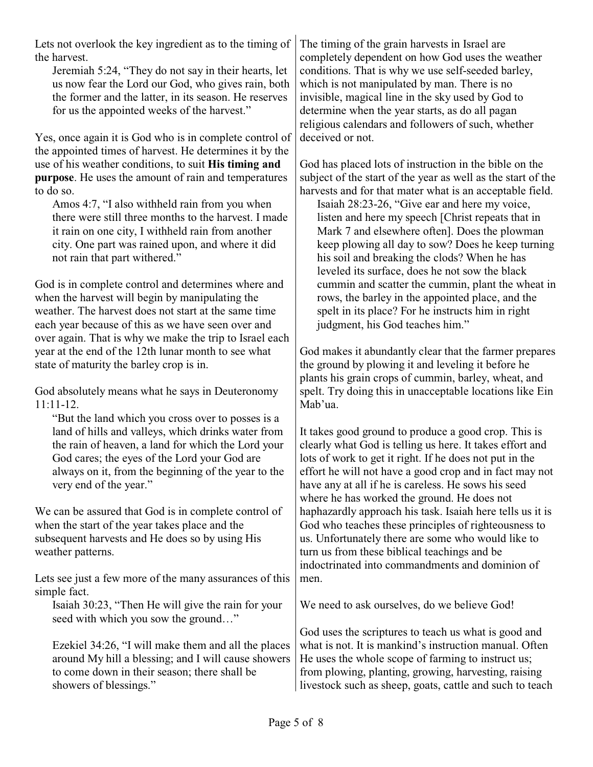Lets not overlook the key ingredient as to the timing of the harvest.

Jeremiah 5:24, "They do not say in their hearts, let us now fear the Lord our God, who gives rain, both the former and the latter, in its season. He reserves for us the appointed weeks of the harvest."

Yes, once again it is God who is in complete control of the appointed times of harvest. He determines it by the use of his weather conditions, to suit **His timing and purpose**. He uses the amount of rain and temperatures to do so.

Amos 4:7, "I also withheld rain from you when there were still three months to the harvest. I made it rain on one city, I withheld rain from another city. One part was rained upon, and where it did not rain that part withered."

God is in complete control and determines where and when the harvest will begin by manipulating the weather. The harvest does not start at the same time each year because of this as we have seen over and over again. That is why we make the trip to Israel each year at the end of the 12th lunar month to see what state of maturity the barley crop is in.

God absolutely means what he says in Deuteronomy  $11:11-12$ .

"But the land which you cross over to posses is a land of hills and valleys, which drinks water from the rain of heaven, a land for which the Lord your God cares; the eyes of the Lord your God are always on it, from the beginning of the year to the very end of the year."

We can be assured that God is in complete control of when the start of the year takes place and the subsequent harvests and He does so by using His weather patterns.

Lets see just a few more of the many assurances of this simple fact.

Isaiah 30:23, "Then He will give the rain for your seed with which you sow the ground…"

Ezekiel 34:26, "I will make them and all the places around My hill a blessing; and I will cause showers to come down in their season; there shall be showers of blessings."

The timing of the grain harvests in Israel are completely dependent on how God uses the weather conditions. That is why we use self-seeded barley, which is not manipulated by man. There is no invisible, magical line in the sky used by God to determine when the year starts, as do all pagan religious calendars and followers of such, whether deceived or not.

God has placed lots of instruction in the bible on the subject of the start of the year as well as the start of the harvests and for that mater what is an acceptable field.

Isaiah 28:23-26, "Give ear and here my voice, listen and here my speech [Christ repeats that in Mark 7 and elsewhere often]. Does the plowman keep plowing all day to sow? Does he keep turning his soil and breaking the clods? When he has leveled its surface, does he not sow the black cummin and scatter the cummin, plant the wheat in rows, the barley in the appointed place, and the spelt in its place? For he instructs him in right judgment, his God teaches him."

God makes it abundantly clear that the farmer prepares the ground by plowing it and leveling it before he plants his grain crops of cummin, barley, wheat, and spelt. Try doing this in unacceptable locations like Ein Mab'ua.

It takes good ground to produce a good crop. This is clearly what God is telling us here. It takes effort and lots of work to get it right. If he does not put in the effort he will not have a good crop and in fact may not have any at all if he is careless. He sows his seed where he has worked the ground. He does not haphazardly approach his task. Isaiah here tells us it is God who teaches these principles of righteousness to us. Unfortunately there are some who would like to turn us from these biblical teachings and be indoctrinated into commandments and dominion of men.

We need to ask ourselves, do we believe God!

God uses the scriptures to teach us what is good and what is not. It is mankind's instruction manual. Often He uses the whole scope of farming to instruct us; from plowing, planting, growing, harvesting, raising livestock such as sheep, goats, cattle and such to teach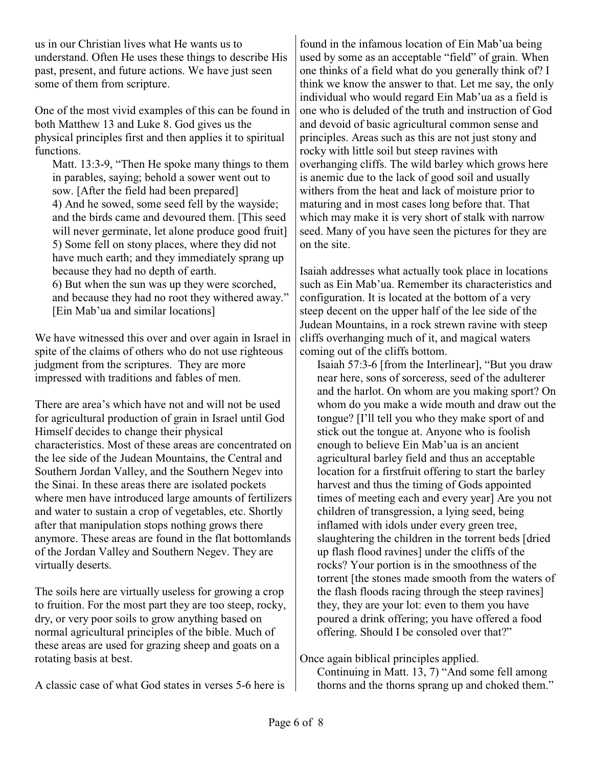us in our Christian lives what He wants us to understand. Often He uses these things to describe His past, present, and future actions. We have just seen some of them from scripture.

One of the most vivid examples of this can be found in both Matthew 13 and Luke 8. God gives us the physical principles first and then applies it to spiritual functions.

Matt. 13:3-9, "Then He spoke many things to them in parables, saying; behold a sower went out to sow. [After the field had been prepared] 4) And he sowed, some seed fell by the wayside; and the birds came and devoured them. [This seed will never germinate, let alone produce good fruit 5) Some fell on stony places, where they did not have much earth; and they immediately sprang up because they had no depth of earth. 6) But when the sun was up they were scorched, and because they had no root they withered away."

[Ein Mab'ua and similar locations]

We have witnessed this over and over again in Israel in spite of the claims of others who do not use righteous judgment from the scriptures. They are more impressed with traditions and fables of men.

There are area's which have not and will not be used for agricultural production of grain in Israel until God Himself decides to change their physical characteristics. Most of these areas are concentrated on the lee side of the Judean Mountains, the Central and Southern Jordan Valley, and the Southern Negev into the Sinai. In these areas there are isolated pockets where men have introduced large amounts of fertilizers and water to sustain a crop of vegetables, etc. Shortly after that manipulation stops nothing grows there anymore. These areas are found in the flat bottomlands of the Jordan Valley and Southern Negev. They are virtually deserts.

The soils here are virtually useless for growing a crop to fruition. For the most part they are too steep, rocky, dry, or very poor soils to grow anything based on normal agricultural principles of the bible. Much of these areas are used for grazing sheep and goats on a rotating basis at best.

A classic case of what God states in verses 5-6 here is

found in the infamous location of Ein Mab'ua being used by some as an acceptable "field" of grain. When one thinks of a field what do you generally think of? I think we know the answer to that. Let me say, the only individual who would regard Ein Mab'ua as a field is one who is deluded of the truth and instruction of God and devoid of basic agricultural common sense and principles. Areas such as this are not just stony and rocky with little soil but steep ravines with overhanging cliffs. The wild barley which grows here is anemic due to the lack of good soil and usually withers from the heat and lack of moisture prior to maturing and in most cases long before that. That which may make it is very short of stalk with narrow seed. Many of you have seen the pictures for they are on the site.

Isaiah addresses what actually took place in locations such as Ein Mab'ua. Remember its characteristics and configuration. It is located at the bottom of a very steep decent on the upper half of the lee side of the Judean Mountains, in a rock strewn ravine with steep cliffs overhanging much of it, and magical waters coming out of the cliffs bottom.

Isaiah 57:3-6 [from the Interlinear], "But you draw near here, sons of sorceress, seed of the adulterer and the harlot. On whom are you making sport? On whom do you make a wide mouth and draw out the tongue? [I'll tell you who they make sport of and stick out the tongue at. Anyone who is foolish enough to believe Ein Mab'ua is an ancient agricultural barley field and thus an acceptable location for a firstfruit offering to start the barley harvest and thus the timing of Gods appointed times of meeting each and every year] Are you not children of transgression, a lying seed, being inflamed with idols under every green tree, slaughtering the children in the torrent beds [dried up flash flood ravines] under the cliffs of the rocks? Your portion is in the smoothness of the torrent [the stones made smooth from the waters of the flash floods racing through the steep ravines] they, they are your lot: even to them you have poured a drink offering; you have offered a food offering. Should I be consoled over that?"

Once again biblical principles applied.

Continuing in Matt. 13, 7) "And some fell among thorns and the thorns sprang up and choked them."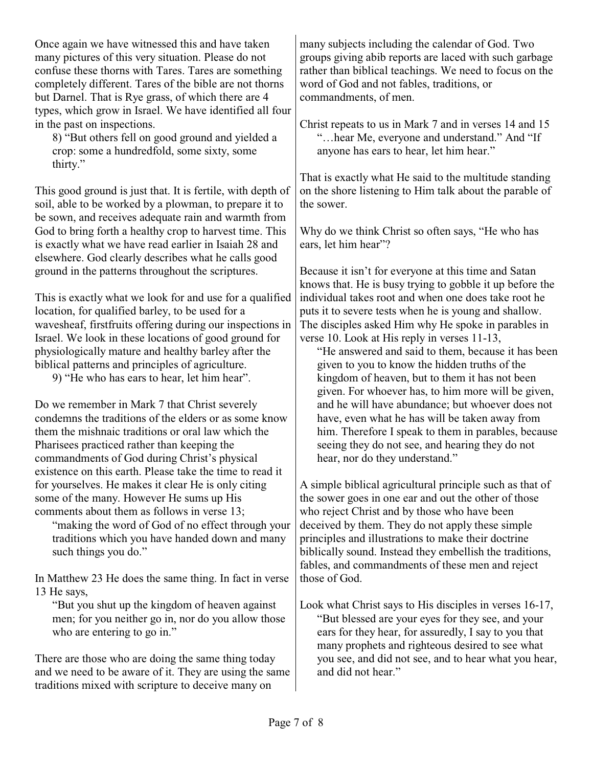Once again we have witnessed this and have taken many pictures of this very situation. Please do not confuse these thorns with Tares. Tares are something completely different. Tares of the bible are not thorns but Darnel. That is Rye grass, of which there are 4 types, which grow in Israel. We have identified all four in the past on inspections.

8) "But others fell on good ground and yielded a crop: some a hundredfold, some sixty, some thirty."

This good ground is just that. It is fertile, with depth of soil, able to be worked by a plowman, to prepare it to be sown, and receives adequate rain and warmth from God to bring forth a healthy crop to harvest time. This is exactly what we have read earlier in Isaiah 28 and elsewhere. God clearly describes what he calls good ground in the patterns throughout the scriptures.

This is exactly what we look for and use for a qualified location, for qualified barley, to be used for a wavesheaf, firstfruits offering during our inspections in Israel. We look in these locations of good ground for physiologically mature and healthy barley after the biblical patterns and principles of agriculture.

9) "He who has ears to hear, let him hear".

Do we remember in Mark 7 that Christ severely condemns the traditions of the elders or as some know them the mishnaic traditions or oral law which the Pharisees practiced rather than keeping the commandments of God during Christ's physical existence on this earth. Please take the time to read it for yourselves. He makes it clear He is only citing some of the many. However He sums up His comments about them as follows in verse 13;

"making the word of God of no effect through your traditions which you have handed down and many such things you do."

In Matthew 23 He does the same thing. In fact in verse 13 He says,

"But you shut up the kingdom of heaven against men; for you neither go in, nor do you allow those who are entering to go in."

There are those who are doing the same thing today and we need to be aware of it. They are using the same traditions mixed with scripture to deceive many on

many subjects including the calendar of God. Two groups giving abib reports are laced with such garbage rather than biblical teachings. We need to focus on the word of God and not fables, traditions, or commandments, of men.

Christ repeats to us in Mark 7 and in verses 14 and 15 "…hear Me, everyone and understand." And "If anyone has ears to hear, let him hear."

That is exactly what He said to the multitude standing on the shore listening to Him talk about the parable of the sower.

Why do we think Christ so often says, "He who has ears, let him hear"?

Because it isn't for everyone at this time and Satan knows that. He is busy trying to gobble it up before the individual takes root and when one does take root he puts it to severe tests when he is young and shallow. The disciples asked Him why He spoke in parables in verse 10. Look at His reply in verses 11-13,

"He answered and said to them, because it has been given to you to know the hidden truths of the kingdom of heaven, but to them it has not been given. For whoever has, to him more will be given, and he will have abundance; but whoever does not have, even what he has will be taken away from him. Therefore I speak to them in parables, because seeing they do not see, and hearing they do not hear, nor do they understand."

A simple biblical agricultural principle such as that of the sower goes in one ear and out the other of those who reject Christ and by those who have been deceived by them. They do not apply these simple principles and illustrations to make their doctrine biblically sound. Instead they embellish the traditions, fables, and commandments of these men and reject those of God.

Look what Christ says to His disciples in verses 16-17, "But blessed are your eyes for they see, and your ears for they hear, for assuredly, I say to you that many prophets and righteous desired to see what you see, and did not see, and to hear what you hear, and did not hear."